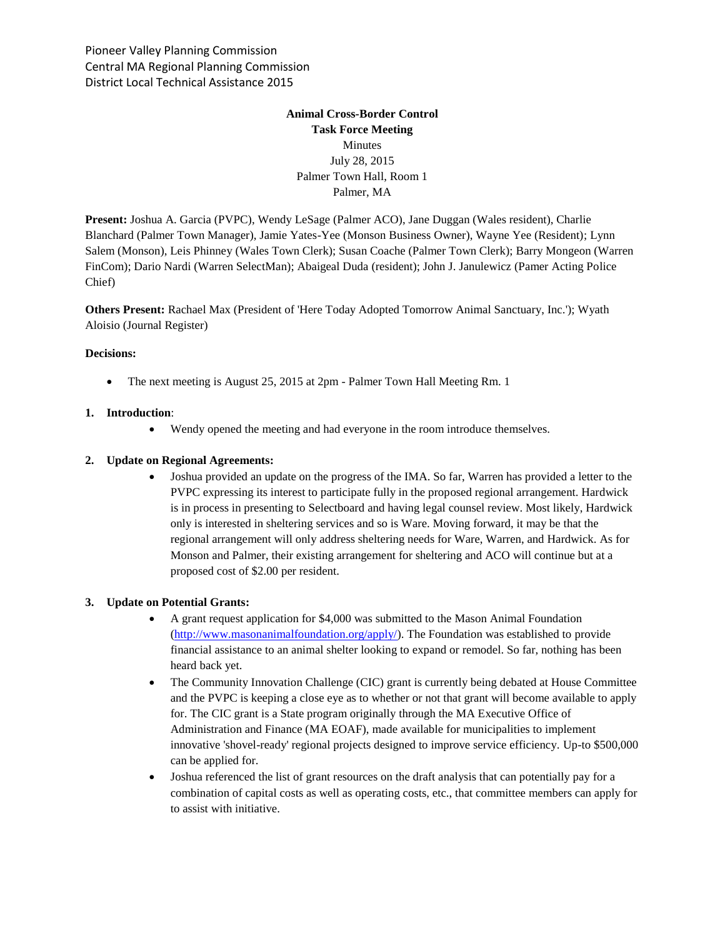Pioneer Valley Planning Commission Central MA Regional Planning Commission District Local Technical Assistance 2015

# **Animal Cross-Border Control Task Force Meeting** Minutes July 28, 2015 Palmer Town Hall, Room 1 Palmer, MA

**Present:** Joshua A. Garcia (PVPC), Wendy LeSage (Palmer ACO), Jane Duggan (Wales resident), Charlie Blanchard (Palmer Town Manager), Jamie Yates-Yee (Monson Business Owner), Wayne Yee (Resident); Lynn Salem (Monson), Leis Phinney (Wales Town Clerk); Susan Coache (Palmer Town Clerk); Barry Mongeon (Warren FinCom); Dario Nardi (Warren SelectMan); Abaigeal Duda (resident); John J. Janulewicz (Pamer Acting Police Chief)

**Others Present:** Rachael Max (President of 'Here Today Adopted Tomorrow Animal Sanctuary, Inc.'); Wyath Aloisio (Journal Register)

### **Decisions:**

• The next meeting is August 25, 2015 at 2pm - Palmer Town Hall Meeting Rm. 1

### **1. Introduction**:

Wendy opened the meeting and had everyone in the room introduce themselves.

## **2. Update on Regional Agreements:**

 Joshua provided an update on the progress of the IMA. So far, Warren has provided a letter to the PVPC expressing its interest to participate fully in the proposed regional arrangement. Hardwick is in process in presenting to Selectboard and having legal counsel review. Most likely, Hardwick only is interested in sheltering services and so is Ware. Moving forward, it may be that the regional arrangement will only address sheltering needs for Ware, Warren, and Hardwick. As for Monson and Palmer, their existing arrangement for sheltering and ACO will continue but at a proposed cost of \$2.00 per resident.

### **3. Update on Potential Grants:**

- A grant request application for \$4,000 was submitted to the Mason Animal Foundation [\(http://www.masonanimalfoundation.org/apply/\)](http://www.masonanimalfoundation.org/apply/). The Foundation was established to provide financial assistance to an animal shelter looking to expand or remodel. So far, nothing has been heard back yet.
- The Community Innovation Challenge (CIC) grant is currently being debated at House Committee and the PVPC is keeping a close eye as to whether or not that grant will become available to apply for. The CIC grant is a State program originally through the MA Executive Office of Administration and Finance (MA EOAF), made available for municipalities to implement innovative 'shovel-ready' regional projects designed to improve service efficiency. Up-to \$500,000 can be applied for.
- Joshua referenced the list of grant resources on the draft analysis that can potentially pay for a combination of capital costs as well as operating costs, etc., that committee members can apply for to assist with initiative.